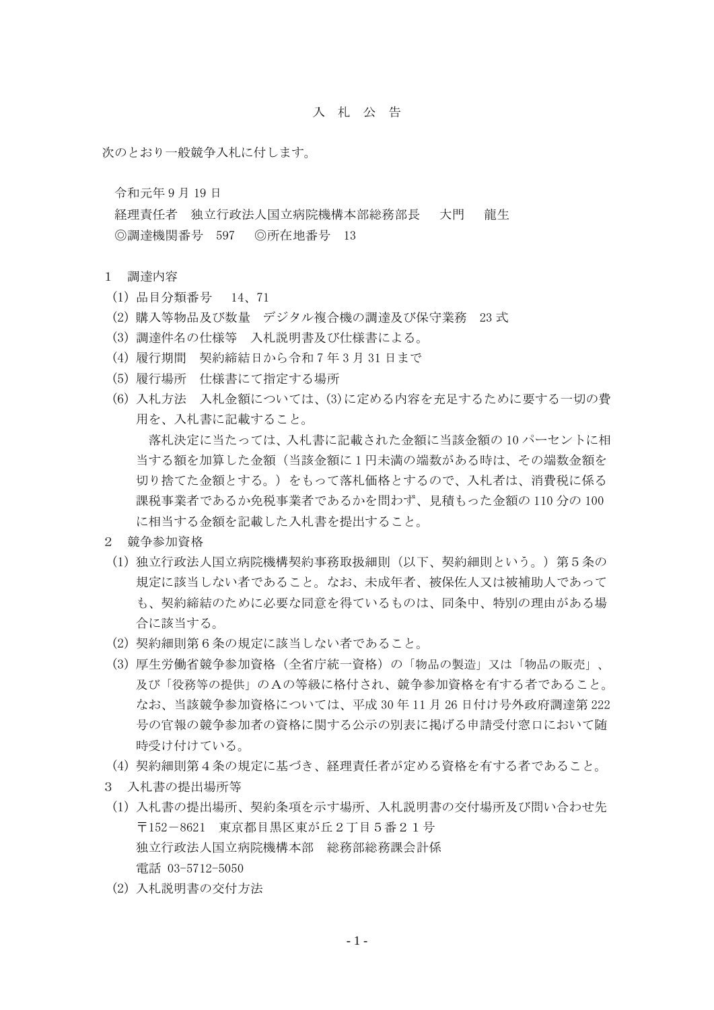## 入 札 公 告

次のとおり一般競争入札に付します。

令和元年 9 月 19 日

経理責任者 独立行政法人国立病院機構本部総務部長 大門 龍生 ◎調達機関番号 597 ◎所在地番号 13

- 1 調達内容
	- (1) 品目分類番号 14、71
	- (2) 購入等物品及び数量 デジタル複合機の調達及び保守業務 23 式
	- (3) 調達件名の仕様等 入札説明書及び仕様書による。
	- (4) 履行期間 契約締結日から令和 7 年 3 月 31 日まで
	- (5) 履行場所 仕様書にて指定する場所
	- (6) 入札方法 入札金額については、(3)に定める内容を充足するために要する一切の費 用を、入札書に記載すること。

落札決定に当たっては、入札書に記載された金額に当該金額の 10 パーセントに相 当する額を加算した金額(当該金額に 1 円未満の端数がある時は、その端数金額を 切り捨てた金額とする。)をもって落札価格とするので、入札者は、消費税に係る 課税事業者であるか免税事業者であるかを問わず、見積もった金額の 110 分の 100 に相当する金額を記載した入札書を提出すること。

- 2 競争参加資格
	- (1) 独立行政法人国立病院機構契約事務取扱細則(以下、契約細則という。)第5条の 規定に該当しない者であること。なお、未成年者、被保佐人又は被補助人であって も、契約締結のために必要な同意を得ているものは、同条中、特別の理由がある場 合に該当する。
	- (2) 契約細則第6条の規定に該当しない者であること。
	- (3) 厚生労働省競争参加資格(全省庁統一資格)の「物品の製造」又は「物品の販売」、 及び「役務等の提供」のAの等級に格付され、競争参加資格を有する者であること。 なお、当該競争参加資格については、平成 30 年 11 月 26 日付け号外政府調達第 222 号の官報の競争参加者の資格に関する公示の別表に掲げる申請受付窓口において随 時受け付けている。
- (4) 契約細則第4条の規定に基づき、経理責任者が定める資格を有する者であること。
- 3 入札書の提出場所等
	- (1) 入札書の提出場所、契約条項を示す場所、入札説明書の交付場所及び問い合わせ先 〒152-8621 東京都目黒区東が丘2丁目5番21号 独立行政法人国立病院機構本部 総務部総務課会計係 電話 03-5712-5050
	- (2) 入札説明書の交付方法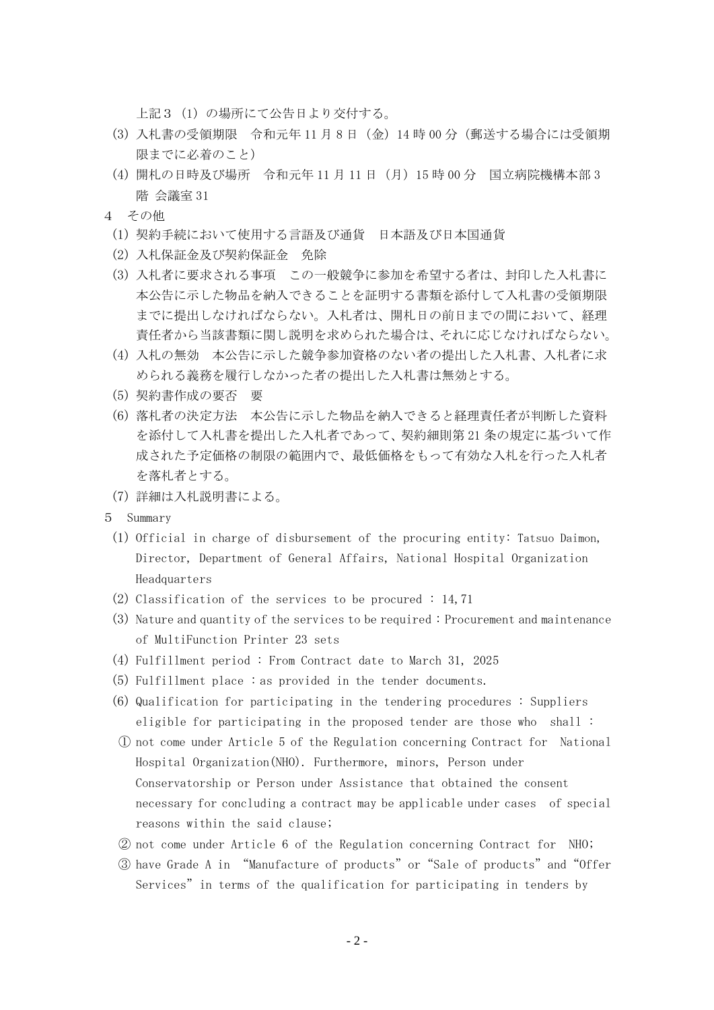上記3(1)の場所にて公告日より交付する。

- (3) 入札書の受領期限 令和元年 11 月 8 日(金)14 時 00 分(郵送する場合には受領期 限までに必着のこと)
- (4) 開札の日時及び場所 令和元年 11 月 11 日(月)15 時 00 分 国立病院機構本部 3 階 会議室 31
- 4 その他
- (1) 契約手続において使用する言語及び通貨 日本語及び日本国通貨
- (2) 入札保証金及び契約保証金 免除
- (3) 入札者に要求される事項 この一般競争に参加を希望する者は、封印した入札書に 本公告に示した物品を納入できることを証明する書類を添付して入札書の受領期限 までに提出しなければならない。入札者は、開札日の前日までの間において、経理 責任者から当該書類に関し説明を求められた場合は、それに応じなければならない。
- (4) 入札の無効 本公告に示した競争参加資格のない者の提出した入札書、入札者に求 められる義務を履行しなかった者の提出した入札書は無効とする。
- (5) 契約書作成の要否 要
- (6) 落札者の決定方法 本公告に示した物品を納入できると経理責任者が判断した資料 を添付して入札書を提出した入札者であって、契約細則第 21 条の規定に基づいて作 成された予定価格の制限の範囲内で、最低価格をもって有効な入札を行った入札者 を落札者とする。
- (7) 詳細は入札説明書による。
- 5 Summary
	- (1) Official in charge of disbursement of the procuring entity: Tatsuo Daimon, Director, Department of General Affairs, National Hospital Organization Headquarters
	- (2) Classification of the services to be procured : 14,71
	- (3) Nature and quantity of the services to be required : Procurement and maintenance of MultiFunction Printer 23 sets
	- (4) Fulfillment period : From Contract date to March 31, 2025
	- (5) Fulfillment place : as provided in the tender documents.
	- (6) Qualification for participating in the tendering procedures : Suppliers eligible for participating in the proposed tender are those who shall :
	- ① not come under Article 5 of the Regulation concerning Contract for National Hospital Organization(NHO). Furthermore, minors, Person under Conservatorship or Person under Assistance that obtained the consent necessary for concluding a contract may be applicable under cases of special reasons within the said clause;
	- ② not come under Article 6 of the Regulation concerning Contract for NHO;
	- ③ have Grade A in "Manufacture of products"or"Sale of products"and"Offer Services"in terms of the qualification for participating in tenders by